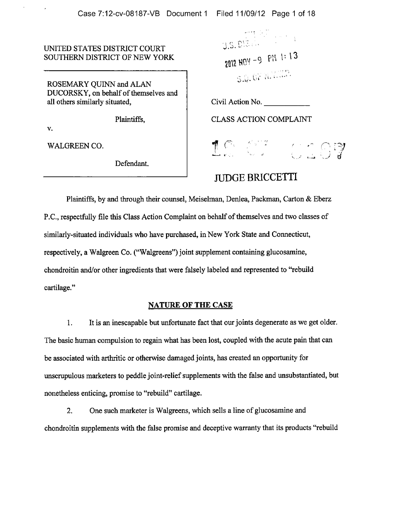UNITED STATES DISTRICT COURT SOUTHERN DISTRICT OF NEW YORK

ROSEMARY QUINN and ALAN DUCORSKY, on behalf of themselves and all others similarly situated, Civil Action No.

V.

WALGREEN CO.

Defendant.

9.5. DIS ... S.D. OF A. 1.1.000

Plaintiffs, CLASS ACTION COMPLAINT



# JUDGE BRICCETTI

Plaintiffs, by and through their counsel, Meiselman, Denlea, Packman, Carton & Eberz P.C., respectfully file this Class Action Complaint on behalf of themselves and two classes of similarly-situated individuals who have purchased, in New York State and Connecticut, respectively, <sup>a</sup> Walgreen Co. ("Walgreens") joint supplement containing glucosamine, chondroitin and/or other ingredients that were falsely labeled and represented to "rebuild cartilage."

# NATURE OF THE CASE

1. It is an inescapable but unfortunate fact that our joints degenerate as we get older. The basic human compulsion to regain what has been lost, coupled with the acute pain that can be associated with arthritic or otherwise damaged joints, has created an opportunity for unscrupulous marketers to peddle joint-relief supplements with the false and unsubstantiated, but nonetheless enticing, promise to "rebuild" cartilage.

2. One such marketer is Walgreens, which sells <sup>a</sup> line of glucosamine and chondroitin supplements with the false promise and deceptive warranty that its products "rebuild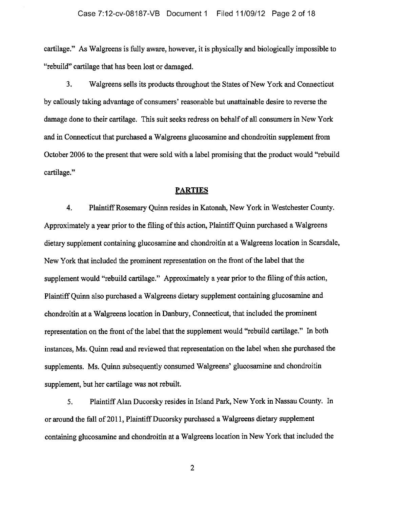cartilage." As Walgreens is fully aware, however, it is physically and biologically impossible to "rebuild" cartilage that has been lost or damaged.

3. Walgreens sells its products throughout the States of New York and Connecticut by callously taking advantage of consumers' reasonable but unattainable desire to reverse the damage done to their cartilage. This suit seeks redress on behalf of all consumers in New York and in Connecticut that purchased <sup>a</sup> Walgreens glucosamine and chondroitin supplement from October 2006 to the present that were sold with <sup>a</sup> label promising that the product would "rebuild cartilage."

#### **PARTIES**

4. Plaintiff Rosemary Quinn resides in Katonah, New York in Westchester County. Approximately a year prior to the filing of this action, Plaintiff Quinn purchased a Walgreens dietary supplement containing glucosamine and chondroitin at <sup>a</sup> Walgreens location in Scarsdale, New York that included the prominent representation on the front of the label that the supplement would "rebuild cartilage." Approximately a year prior to the filing of this action, PlaintiffQuinn also purchased <sup>a</sup> Walgreens dietary supplement containing glucosamine and chondroitin at <sup>a</sup> Walgreens location in Danbury, Connecticut, that included the prominent representation on the front of the label that the supplement would "rebuild cartilage." In both instances, Ms. Quinn read and reviewed that representation on the label when she purchased the supplements. Ms. Quinn subsequently consumed Walgreens' glucosamine and chondroitin supplement, but her cartilage was not rebuilt.

5. PlaintiffAlan Ducorsky resides in Island Park, New York in Nassau County. In or around the fall of 2011, Plaintiff Ducorsky purchased a Walgreens dietary supplement containing glucosamine and chondroitin at <sup>a</sup> Walgreens location in New York that included the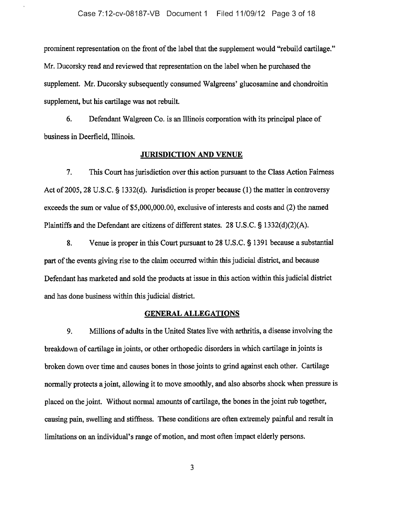prominent representation on the front of the label that the supplement would "rebuild cartilage." Mr. Ducorsky read and reviewed that representation on the label when he purchased the supplement. Mr. Ducorsky subsequently consumed Walgreens' glucosamine and chondroitin supplement, but his cartilage was not rebuilt.

6. Defendant Walgreen Co. is an Illinois corporation with its principal place of business in Deerfield, Illinois.

#### JURISDICTION AND VENUE

7. This Court has jurisdiction over this action pursuant to the Class Action Fairness Act of 2005, 28 U.S.C.  $\S$  1332(d). Jurisdiction is proper because (1) the matter in controversy exceeds the sum or value of \$5,000,000.00, exclusive of interests and costs and (2) the named Plaintiffs and the Defendant are citizens of different states. 28 U.S.C.  $\S$  1332(d)(2)(A).

8. Venue is proper in this Court pursuant to 28 U.S.C. § 1391 because a substantial part of the events giving rise to the claim occurred within this judicial district, and because Defendant has marketed and sold the products at issue in this action within this judicial district and has done business within this judicial district.

#### GENERAL ALLEGATIONS

9. Millions of adults in the United States live with arthritis, <sup>a</sup> disease involving the breakdown of cartilage in joints, or other orthopedic disorders in which cartilage in joints is broken down over time and causes bones in those joints to grind against each other. Cartilage normally protects a joint, allowing it to move smoothly, and also absorbs shock when pressure is placed on the joint. Without normal amounts of cartilage, the bones in the joint rub together, causing pain, swelling and stiffness. These conditions are often extremely painful and result in limitations on an individual's range of motion, and most often impact elderly persons.

 $\overline{3}$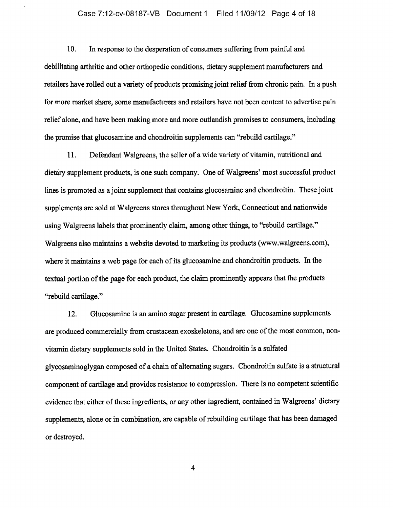#### Case 7:12-cv-08187-VB Document <sup>1</sup> Filed 11/09/12 Page 4 of 18

10. In response to the desperation of consumers suffering from painful and debilitating arthritic and other orthopedic conditions, dietary supplement manufacturers and retailers have rolled out a variety of products promising joint relief from chronic pain. In a push for more market share, some manufacturers and retailers have not been content to advertise pain relief alone, and have been making more and more outlandish promises to consumers, including the promise that glucosamine and chondroitin supplements can "rebuild cartilage."

11. Defendant Walgreens, the seller of a wide variety of vitamin, nutritional and dietary supplement products, is one such company. One of Walgreens' most successful product lines is promoted as a joint supplement that contains glucosamine and chondroitin. These joint supplements are sold at Walgreens stores throughout New York, Connecticut and nationwide using Walgreens labels that prominently claim, among other things, to "rebuild cartilage." Walgreens also maintains <sup>a</sup> website devoted to marketing its products (www.walgreens.com), where it maintains a web page for each of its glucosamine and chondroitin products. In the textual portion of the page for each product, the claim prominently appears that the products "rebuild cartilage."

12. Glucosamine is an amino sugar present in cartilage. Glucosamine supplements are produced commercially from crustacean exoskeletons, and are one of the most common, nonvitamin dietary supplements sold in the United States. Chondroitin is <sup>a</sup> sulfated glycosaminoglygan composed of <sup>a</sup> chain of alternating sugars. Chondroitin sulfate is <sup>a</sup> structural component of cartilage and provides resistance to compression. There is no competent scientific evidence that either of these ingredients, or any other ingredient, contained in Walgreens' dietary supplements, alone or in combination, are capable of rebuilding cartilage that has been damaged or destroyed.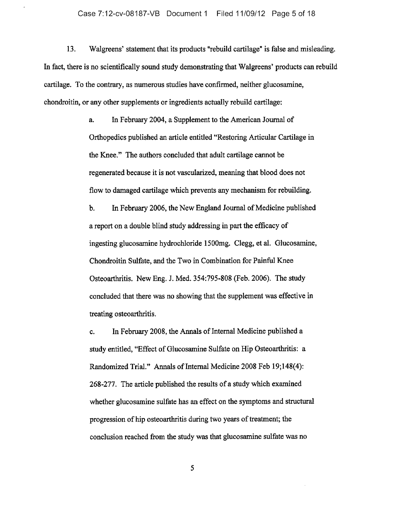13. Walgreens' statement that its products "rebuild cartilage" is false and misleading. In fact, there is no scientifically sound study demonstrating that Walgreens' products can rebuild cartilage. To the contrary, as numerous studies have confirmed, neither glucosamine, chondroitin, or any other supplements or ingredients actually rebuild cartilage:

> a. In February 2004, <sup>a</sup> Supplement to the American Journal of Orthopedics published an article entitled "Restoring Articular Cartilage in the Knee." The authors concluded that adult cartilage cannot be regenerated because it is not vascularized, meaning that blood does not flow to damaged cartilage which prevents any mechanism for rebuilding.

> b. In February 2006, the New England Journal of Medicine published <sup>a</sup> report on <sup>a</sup> double blind study addressing in part the efficacy of ingesting glucosamine hydrochloride 1500mg. Clegg, et al. Glucosamine, Chondroitin Sulfate, and the Two in Combination for Painful Knee Osteoarthritis. New Eng. J. Med. 354:795-808 (Feb. 2006). The study concluded that there was no showing that the supplement was effective in treating osteoarthritis.

> c. In February 2008, the Annals of Internal Medicine published a study entitled, "Effect of Glucosamine Sulfate on Hip Osteoarthritis: <sup>a</sup> Randomized Trial." Annals of Internal Medicine 2008 Feb 19;148(4): 268-277. The article published the results of <sup>a</sup> study which examined whether glucosamine sulfate has an effect on the symptoms and structural progression of hip osteoarthritis during two years of treatment; the conclusion reached from the study was that glucosamine sulfate was no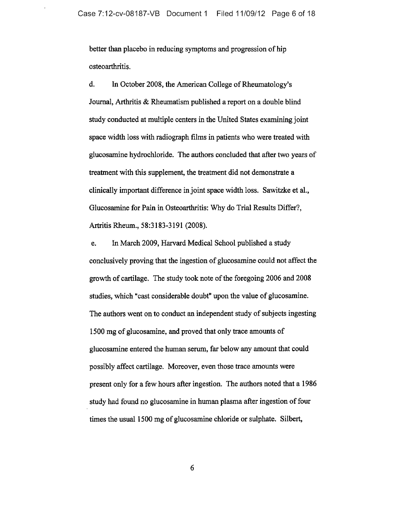better than placebo in reducing symptoms and progression of hip osteoarthritis.

d. In October 2008, the American College of Rheumatology's Journal, Arthritis & Rheumatism published <sup>a</sup> report on <sup>a</sup> double blind study conducted at multiple centers in the United States examining joint space width loss with radiograph films in patients who were treated with glucosamine hydrochloride. The authors concluded that after two years of treatment with this supplement, the treatment did not demonstrate <sup>a</sup> clinically important difference in joint space width loss. Sawitzke et al., Glucosamine for Pain in Osteoarthritis: Why do Trial Results Differ?, Artritis Rheum., 58:3183-3191 (2008).

e. In March 2009, Harvard Medical School published a study conclusively proving that the ingestion of glucosamine could not affect the growth of cartilage. The study took note of the foregoing 2006 and 2008 studies, which "cast considerable doubt" upon the value of glucosamine. The authors went on to conduct an independent study of subjects ingesting <sup>1500</sup> mg of glucosamine, and proved that only trace amounts of glucosamine entered the human serum, far below any amount that could possibly affect cartilage. Moreover, even those trace amounts were present only for <sup>a</sup> few hours after ingestion. The authors noted that <sup>a</sup> <sup>1986</sup> study had found no glucosamine in human plasma after ingestion of four times the usual 1500 mg of glucosamine chloride or sulphate. Silbert,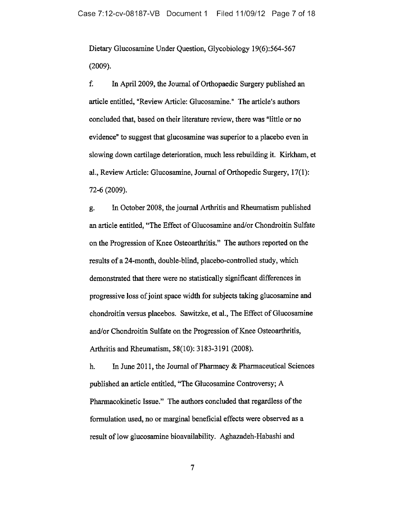Dietary Glucosamine Under Question, Glycobiology 19(6):564-567 (2009).

f. In April 2009, the Journal of Orthopaedic Surgery published an article entitled, "Review Article: Glucosamine." The article's authors concluded that, based on their literature review, there was "little or no evidence" to suggest that glueosamine was superior to a placebo even in slowing down cartilage deterioration, much less rebuilding it. Kirkham, et al., Review Article: Glucosamine, Journal of Orthopedic Surgery, 17(1): 72-6 (2009).

g. In October 2008, the journal Arthritis and Rheumatism published an article entitled, "The Effect of Glucosamine and/or Chondroitin Sulfate on the Progression of Knee Osteoarthritis." The authors reported on the results of <sup>a</sup> 24-month, double-blind, placebo-controlled study, which demonstrated that there were no statistically significant differences in progressive loss of joint space width for subjects taking glucosamine and chondroitin versus placebos. Sawitzke, et al., The Effect of Glucosamine and/or Chondroitin Sulfate on the Progression of Knee Osteoarthritis, Arthritis and Rheumatism, 58(10): 3183-3191 (2008).

h. In June 2011, the Journal of Pharmacy  $\&$  Pharmaceutical Sciences published an article entitled, "The Glucosamine Controversy; A Pharmacokinetic Issue." The authors concluded that regardless of the formulation used, no or marginal beneficial effects were observed as <sup>a</sup> result of low glucosamine bioavailability. Aghazadeh-Habashi and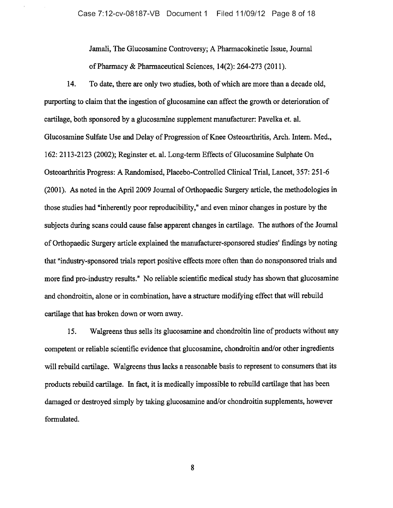Jamali, The Glucosamine Controversy; A Pharmacokinetic Issue, Journal of Pharmacy & Pharmaceutical Sciences,  $14(2)$ : 264-273 (2011).

14. To date, there are only two studies, both of which are more than a decade old, purporting to claim that the ingestion of glucosamine can affect the growth or deterioration of cartilage, both sponsored by <sup>a</sup> glucosamine supplement manufacturer: Pavelka et. al. Glucosamine Sulfate Use and Delay of Progression of Knee Osteoarthritis, Arch. Intern. Med., 162: 2113-2123 (2002); Reginster et. al. Long-term Effects of Glucosamine Sulphate On Osteoarthritis Progress: A Randomised, Placebo-Controlled Clinical Trial, Lancet, 357: 251-6 (2001). As noted in the April 2009 Journal of Orthopaedic Surgery article, the methodologies in those studies had "inherently poor reproducibility," and even minor changes in posture by the subjects during scans could cause false apparent changes in cartilage. The authors of the Journal ofOrthopaedic Surgery article explained the manufacturer-sponsored studies' findings by noting that "industry-sponsored trials report positive effects more often than do nonsponsored trials and more find pro-industry results." No reliable scientific medical study has shown that glucosamine and chondroitin, alone or in combination, have <sup>a</sup> structure modifying effect that will rebuild cartilage that has broken down or worn away.

15. Walgreens thus sells its glucosamine and chondroitin line of products without any competent or reliable scientific evidence that glucosamine, chondroitin and/or other ingredients will rebuild cartilage. Walgreens thus lacks <sup>a</sup> reasonable basis to represent to consumers that its products rebuild cartilage. In fact, it is medically impossible to rebuild cartilage that has been damaged or destroyed simply by taking glucosamine and/or chondroitin supplements, however formulated.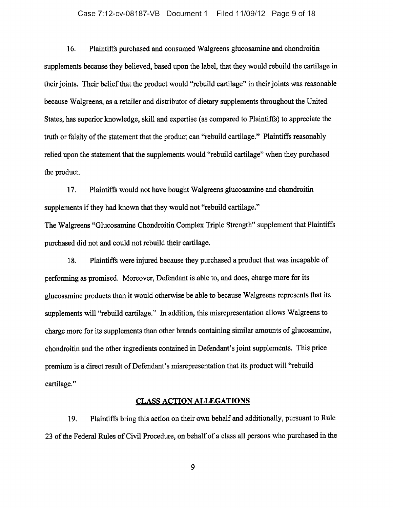#### Case 7:12-cv-08187-VB Document <sup>1</sup> Filed 11/09/12 Page 9 of 18

16. Plaintiffs purchased and consumed Walgreens glucosamine and chondroitin supplements because they believed, based upon the label, that they would rebuild the cartilage in their joints. Their belief that the product would "rebuild cartilage" in their joints was reasonable because Walgreens, as a retailer and distributor of dietary supplements throughout the United States, has superior knowledge, skill and expertise (as compared to Plaintiffs) to appreciate the truth or falsity of the statement that the product can "rebuild cartilage." Plaintiffs reasonably relied upon the statement that the supplements would "rebuild cartilage" when they purchased the product.

17. Plaintiffs would not have bought Walgreens glucosamine and chondroitin supplements if they had known that they would not "rebuild cartilage." The Walgreens "Glucosamine Chondroitin Complex Triple Strength" supplement that Plaintiffs purchased did not and could not rebuild their cartilage.

18. Plaintiffs were injured because they purchased <sup>a</sup> product that was incapable of performing as promised. Moreover, Defendant is able to, and does, charge more for its glucosamine products than it would otherwise be able to because Walgreens represents that its supplements will "rebuild cartilage." In addition, this misrepresentation allows Walgreens to charge more for its supplements than other brands containing similar amounts of glucosamine, chondroitin and the other ingredients contained in Defendant's joint supplements. This price premium is <sup>a</sup> direct result of Defendant's misrepresentation that its product will "rebuild cartilage."

#### CLASS ACTION ALLEGATIONS

19. Plaintiffs bring this action on their own behalf and additionally, pursuant to Rule <sup>23</sup> ofthe Federal Rules of Civil Procedure, on behalf of <sup>a</sup> class all persons who purchased in the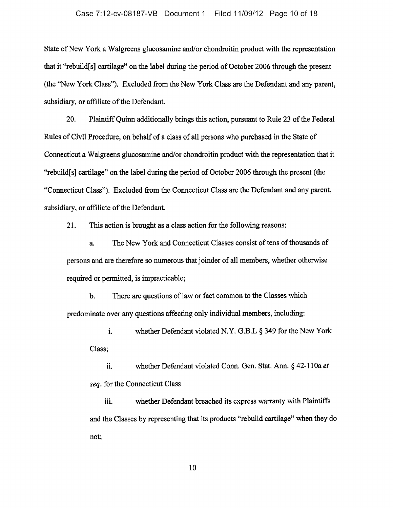State of New York a Walgreens glucosamine and/or chondroitin product with the representation that it "rebuild[s] cartilage" on the label during the period of October 2006 through the present (the "New York Class"). Excluded from the New York Class are the Defendant and any parent, subsidiary, or affiliate of the Defendant.

20. Plaintiff Quinn additionally brings this action, pursuant to Rule 23 of the Federal Rules of Civil Procedure, on behalf of a class of all persons who purchased in the State of Connecticut <sup>a</sup> Walgreens glucosamine and/or chondroitin product with the representation that it "rebuild[s] cartilage" on the label during the period of October 2006 through the present (the "Connecticut Class"). Excluded from the Connecticut Class are the Defendant and any parent, subsidiary, or affiliate of the Defendant.

21. This action is brought as a class action for the following reasons:

a. The New York and Connecticut Classes consist of tens of thousands of persons and are therefore so numerous that joinder of all members, whether otherwise required or permitted, is impracticable;

b. There are questions of law or fact common to the Classes which predominate over any questions affecting only individual members, including:

i. whether Defendant violated N.Y. G.B.L  $\S$  349 for the New York Class;

ii. whether Defendant violated Conn. Gen. Stat. Ann.  $\S$  42-110a et seq. for the Connecticut Class

whether Defendant breached its express warranty with Plaintiffs iii. and the Classes by representing that its products "rebuild cartilage" when they do not;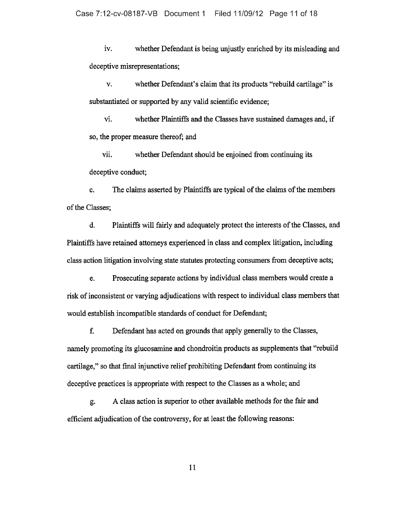iv. whether Defendant is being unjustly enriched by its misleading and deceptive misrepresentations;

v. whether Defendant's claim that its products "rebuild cartilage" is substantiated or supported by any valid scientific evidence;

vi. whether Plaintiffs and the Classes have sustained damages and, if so, the proper measure thereof; and

vii. whether Defendant should be enjoined from continuing its deceptive conduct;

c. The claims asserted by Plaintiffs are typical of the claims of the members of the Classes;

d. Plaintiffs will fairly and adequately protect the interests of the Classes, and Plaintiffs have retained attorneys experienced in class and complex litigation, including class action litigation involving state statutes protecting consumers from deceptive acts;

e. Prosecuting separate actions by individual class members would create <sup>a</sup> risk of inconsistent or varying adjudications with respect to individual class members that would establish incompatible standards of conduct for Defendant;

f. Defendant has acted on grounds that apply generally to the Classes, namely promoting its glucosamine and chondroitin products as supplements that "rebuild cartilage," so that final injunctive relief prohibiting Defendant from continuing its deceptive practices is appropriate with respect to the Classes as <sup>a</sup> whole; and

g. A class action is superior to other available methods for the fair and efficient adjudication of the controversy, for at least the following reasons: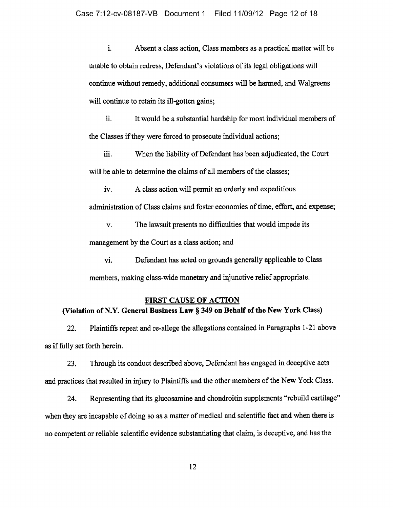i. Absent <sup>a</sup> class action, Class members as <sup>a</sup> practical matter will be unable to obtain redress, Defendant's violations of its legal obligations will continue without remedy, additional consumers will be harmed, and Walgreens will continue to retain its ill-gotten gains;

ii. It would be <sup>a</sup> substantial hardship for most individual members of the Classes if they were forced to prosecute individual actions;

iii. When the liability of Defendant has been adjudicated, the Court will be able to determine the claims of all members of the classes;

iv. A class action will permit an orderly and expeditious administration of Class claims and foster economies of time, effort, and expense;

v. The lawsuit presents no difficulties that would impede its management by the Court as <sup>a</sup> class action; and

vi. Defendant has acted on grounds generally applicable to Class members, making class-wide monetary and injunctive relief appropriate.

#### FIRST CAUSE OF ACTION

# (Violation of N.Y. General Business Law § 349 on Behalf of the New York Class)

22. Plaintiffs repeat and re-allege the allegations contained in Paragraphs 1-21 above as if fully set forth herein.

23. Through its conduct described above, Defendant has engaged in deceptive acts and practices that resulted in injury to Plaintiffs and the other members of the New York Class.

24. Representing that its glucosamine and chondroitin supplements "rebuild cartilage" when they are incapable of doing so as a matter of medical and scientific fact and when there is no competent or reliable scientific evidence substantiating that claim, is deceptive, and has the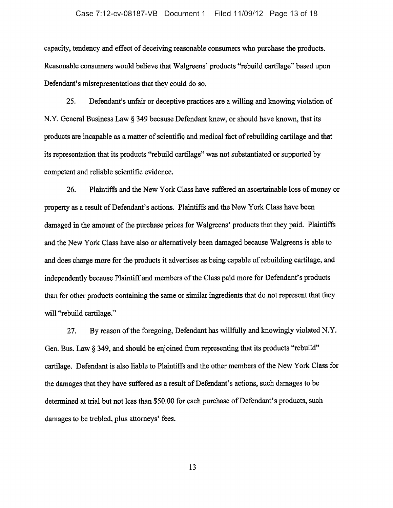capacity, tendency and effect of deceiving reasonable consumers who purchase the products. Reasonable consumers would believe that Walgreens' products "rebuild cartilage" based upon Defendant's misrepresentations that they could do so.

25. Defendant's unfair or deceptive practices are <sup>a</sup> willing and knowing violation of N.Y. General Business Law § 349 because Defendant knew, or should have known, that its products are incapable as <sup>a</sup> matter of scientific and medical fact ofrebuilding cartilage and that its representation that its products "rebuild cartilage" was not substantiated or supported by competent and reliable scientific evidence.

26. Plaintiffs and the New York Class have suffered an ascertainable loss of money or property as <sup>a</sup> result of Defendant's actions. Plaintiffs and the New York Class have been damaged in the amount of the purchase prices for Walgreens' products that they paid. Plaintiffs and the New York Class have also or alternatively been damaged because Walgreens is able to and does charge more for the products it advertises as being capable of rebuilding cartilage, and independently because Plaintiff and members of the Class paid more for Defendant's products than for other products containing the same or similar ingredients that do not represent that they will "rebuild cartilage."

27. By reason of the foregoing, Defendant has willfully and knowingly violated N.Y. Gen. Bus. Law § 349, and should be enjoined from representing that its products "rebuild" cartilage. Defendant is also liable to Plaintiffs and the other members of the New York Class for the damages that they have suffered as <sup>a</sup> result of Defendant's actions, such damages to be determined at trial but not less than \$50.00 for each purchase of Defendant's products, such damages to be trebled, plus attorneys' fees.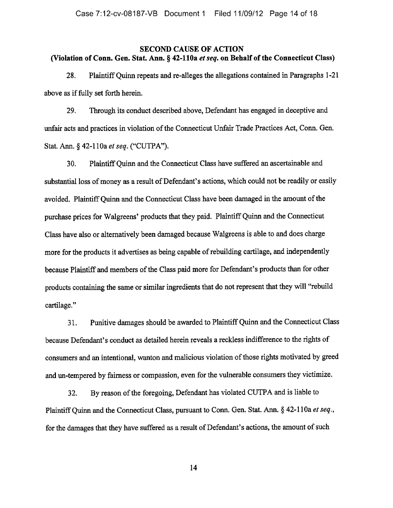# SECOND CAUSE OF ACTION (Violation of Conn. Gen. Stat. Ann. § 42-110a et seq. on Behalf of the Connecticut Class)

28. PlaintiffQuinn repeats and re-alleges the allegations contained in Paragraphs 1-21 above as if fully set forth herein.

29. Through its conduct described above, Defendant has engaged in deceptive and unfair acts and practices in violation of the Connecticut Unfair Trade Practices Act, Conn. Gen. Stat. Ann. § 42-110a et seq. ("CUTPA").

30. PlaintiffQuinn and the Connecticut Class have suffered an ascertainable and substantial loss of money as a result of Defendant's actions, which could not be readily or easily avoided. Plaintiff Quinn and the Connecticut Class have been damaged in the amount of the purchase prices for Walgreens' products that they paid. Plaintiff Quinn and the Connecticut Class have also or alternatively been damaged because Walgreens is able to and does charge more for the products it advertises as being capable of rebuilding cartilage, and independently because Plaintiff and members of the Class paid more for Defendant's products than for other products containing the same or similar ingredients that do not represent that they will "rebuild cartilage."

31. Punitive damages should be awarded to Plaintiff Quinn and the Connecticut Class because Defendant's conduct as detailed herein reveals <sup>a</sup> reckless indifference to the rights of consumers and an intentional, wanton and malicious violation of those rights motivated by greed and un-tempered by fairness or compassion, even for the vulnerable consumers they victimize.

32. By reason ofthe foregoing, Defendant has violated CUTPA and is liable to Plaintiff Ouinn and the Connecticut Class, pursuant to Conn. Gen. Stat. Ann. § 42-110a et seq., for the damages that they have suffered as a result of Defendant's actions, the amount of such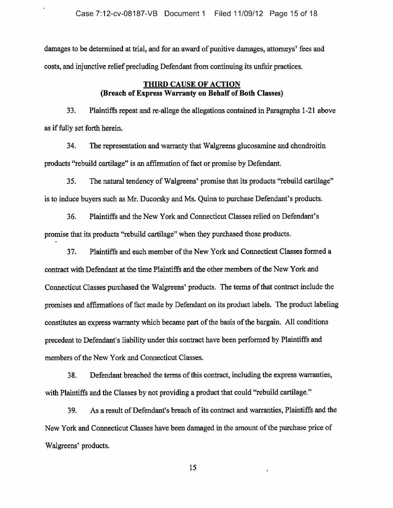damages to be determined at trial, and for an award of punitive damages, attorneys' fees and costs, and injunctive relief precluding Defendant from continuing its unfair practices.

# THIRD CAUSE OF ACTION (Breach of Express Warranty on Behalf of Both Classes)

33. Plaintiffs repeat and re-allege the allegations contained in Paragraphs 1-21 above as iffully set forth herein.

34. The representation and warranty that Walgreens glucosamine and chondroitin products "rebuild cartilage" is an affirmation of fact or promise by Defendant.

35. The natural tendency of Walgreens' promise that its products "rebuild cartilage" is to induce buyers such as Mr. Ducorsky and Ms. Quinn to purchase Defendant's products.

36. Plaintiffs and the New York and Connecticut Classes relied on Defendant's promise that its products "rebuild cartilage" when they purchased those products.

37. Plaintiffs and each member ofthe New York and Connecticut Classes formed <sup>a</sup> contract with Defendant at the time Plaintiffs and the other members of the New York and Connecticut Classes purchased the Walgreens' products. The terms of that contract include the promises and affirmations of fact made by Defendant on its product labels. The product labeling constitutes an express warranty which became part of the basis of the bargain. All conditions precedent to Defendant's liability under this contract have been performed by Plaintiffs and members of the New York and Connecticut Classes.

38. Defendant breached the terms of this contract, including the express warranties, with Plaintiffs and the Classes by not providing a product that could "rebuild cartilage."

39. As a result of Defendant's breach of its contract and warranties, Plaintiffs and the New York and Connecticut Classes have been damaged in the amount of the purchase price of Walgreens' products.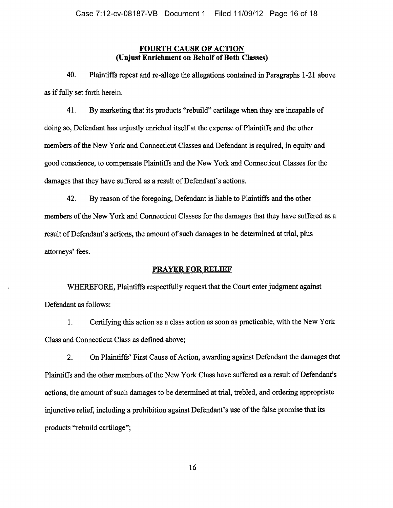# FOURTH CAUSE OF ACTION (Unjust Enrichment on Behalf of Both Classes)

40. Plaintiffs repeat and re-allege the allegations contained in Paragraphs 1-21 above as if fully set forth herein.

41. By marketing that its products "rebuild" cartilage when they are incapable of doing so, Defendant has unjustly enriched itself at the expense of Plaintiffs and the other members of the New York and Connecticut Classes and Defendant is required, in equity and good conscience, to compensate Plaintiffs and the New York and Connecticut Classes for the damages that they have suffered as a result of Defendant's actions.

42. By reason of the foregoing, Defendant is liable to Plaintiffs and the other members of the New York and Connecticut Classes for the damages that they have suffered as a result of Defendant's actions, the amount of such damages to be determined at trial, plus attorneys' fees.

# PRAYER FOR RELIEF

WHEREFORE, Plaintiffs respectfully request that the Court enter judgment against Defendant as follows:

1. Certifying this action as <sup>a</sup> class action as soon as practicable, with the New York Class and Connecticut Class as defined above;

2. On Plaintiffs' First Cause of Action, awarding against Defendant the damages that Plaintiffs and the other members of the New York Class have suffered as a result of Defendant's actions, the amount of such damages to be determined at trial, trebled, and ordering appropriate injunctive relief, including a prohibition against Defendant's use of the false promise that its products "rebuild cartilage";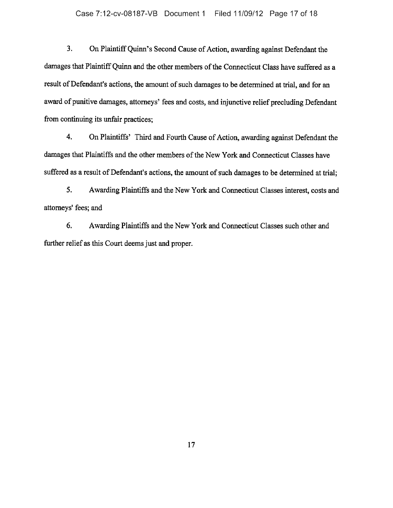3. On Plaintiff Quinn's Second Cause of Action, awarding against Defendant the damages that Plaintiff Quinn and the other members of the Connecticut Class have suffered as a result of Defendant's actions, the amount of such damages to be determined at trial, and for an award of punitive damages, attorneys' fees and costs, and injunctive relief precluding Defendant from continuing its unfair practices;

4. On Plaintiffs' Third and Fourth Cause of Action, awarding against Defendant the damages that Plaintiffs and the other members of the New York and Connecticut Classes have suffered as a result of Defendant's actions, the amount of such damages to be determined at trial;

5. Awarding Plaintiffs and the New York and Connecticut Classes interest, costs and attorneys' fees; and

6. Awarding Plaintiffs and the New York and Connecticut Classes such other and further relief as this Court deems just and proper.